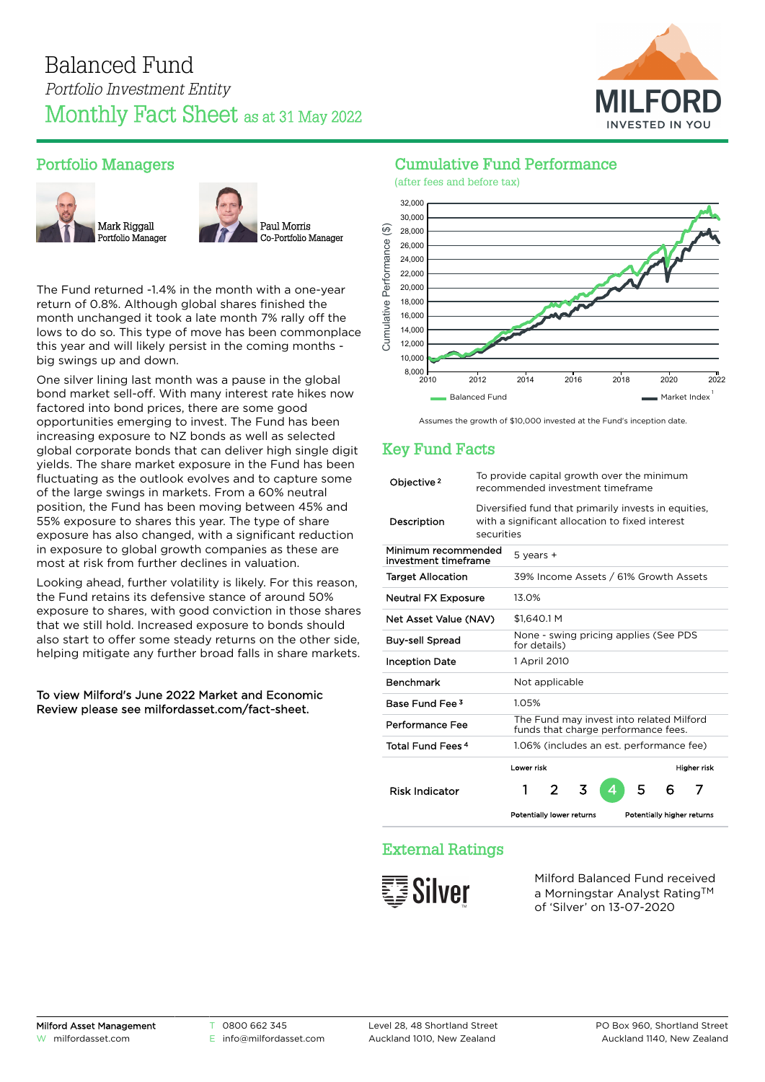

# Portfolio Managers





The Fund returned -1.4% in the month with a one-year return of 0.8%. Although global shares finished the month unchanged it took a late month 7% rally off the lows to do so. This type of move has been commonplace this year and will likely persist in the coming months big swings up and down.

One silver lining last month was a pause in the global bond market sell-off. With many interest rate hikes now factored into bond prices, there are some good opportunities emerging to invest. The Fund has been increasing exposure to NZ bonds as well as selected global corporate bonds that can deliver high single digit yields. The share market exposure in the Fund has been fluctuating as the outlook evolves and to capture some of the large swings in markets. From a 60% neutral position, the Fund has been moving between 45% and 55% exposure to shares this year. The type of share exposure has also changed, with a significant reduction in exposure to global growth companies as these are most at risk from further declines in valuation.

Looking ahead, further volatility is likely. For this reason, the Fund retains its defensive stance of around 50% exposure to shares, with good conviction in those shares that we still hold. Increased exposure to bonds should also start to offer some steady returns on the other side, helping mitigate any further broad falls in share markets.

#### To view Milford's June 2022 Market and Economic Review please see [milfordasset.com/fact-sheet](https://milfordasset.com/wp-content/uploads/2022/06/Market-and-Economic-Review-June-2022.pdf).

# Cumulative Fund Performance



Assumes the growth of \$10,000 invested at the Fund's inception date.

# Key Fund Facts

| Objective <sup>2</sup>                      | To provide capital growth over the minimum<br>recommended investment timeframe                                        |                                                                                 |                |   |   |                                          |                            |             |
|---------------------------------------------|-----------------------------------------------------------------------------------------------------------------------|---------------------------------------------------------------------------------|----------------|---|---|------------------------------------------|----------------------------|-------------|
| Description                                 | Diversified fund that primarily invests in equities,<br>with a significant allocation to fixed interest<br>securities |                                                                                 |                |   |   |                                          |                            |             |
| Minimum recommended<br>investment timeframe | $5$ years $+$                                                                                                         |                                                                                 |                |   |   |                                          |                            |             |
| <b>Target Allocation</b>                    |                                                                                                                       | 39% Income Assets / 61% Growth Assets                                           |                |   |   |                                          |                            |             |
| <b>Neutral FX Exposure</b>                  |                                                                                                                       | 13.0%                                                                           |                |   |   |                                          |                            |             |
| Net Asset Value (NAV)                       | \$1.640.1 M                                                                                                           |                                                                                 |                |   |   |                                          |                            |             |
| <b>Buy-sell Spread</b>                      |                                                                                                                       | None - swing pricing applies (See PDS<br>for details)                           |                |   |   |                                          |                            |             |
| <b>Inception Date</b>                       |                                                                                                                       |                                                                                 | 1 April 2010   |   |   |                                          |                            |             |
| <b>Benchmark</b>                            |                                                                                                                       |                                                                                 | Not applicable |   |   |                                          |                            |             |
| Base Fund Fee 3                             |                                                                                                                       | 1.05%                                                                           |                |   |   |                                          |                            |             |
| Performance Fee                             |                                                                                                                       | The Fund may invest into related Milford<br>funds that charge performance fees. |                |   |   |                                          |                            |             |
| Total Fund Fees <sup>4</sup>                |                                                                                                                       |                                                                                 |                |   |   | 1.06% (includes an est. performance fee) |                            |             |
|                                             |                                                                                                                       | Lower risk                                                                      |                |   |   |                                          |                            | Higher risk |
| <b>Risk Indicator</b>                       |                                                                                                                       | 1                                                                               | 2              | 3 | 4 | 5                                        | 6                          | 7           |
|                                             |                                                                                                                       | Potentially lower returns                                                       |                |   |   |                                          | Potentially higher returns |             |

# External Ratings



Milford Balanced Fund received a Morningstar Analyst Rating™ of 'Silver' on 13-07-2020